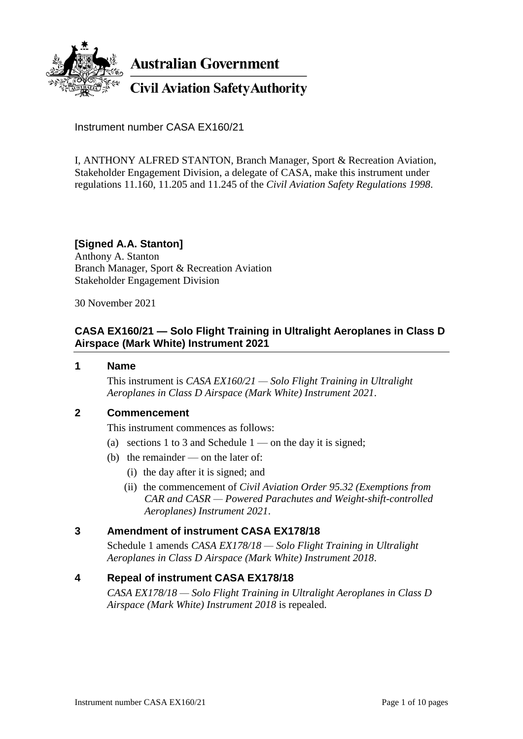

**Australian Government** 

**Civil Aviation Safety Authority** 

Instrument number CASA EX160/21

I, ANTHONY ALFRED STANTON, Branch Manager, Sport & Recreation Aviation, Stakeholder Engagement Division, a delegate of CASA, make this instrument under regulations 11.160, 11.205 and 11.245 of the *Civil Aviation Safety Regulations 1998*.

# **[Signed A.A. Stanton]**

Anthony A. Stanton Branch Manager, Sport & Recreation Aviation Stakeholder Engagement Division

30 November 2021

# **CASA EX160/21 — Solo Flight Training in Ultralight Aeroplanes in Class D Airspace (Mark White) Instrument 2021**

## **1 Name**

This instrument is *CASA EX160/21 — Solo Flight Training in Ultralight Aeroplanes in Class D Airspace (Mark White) Instrument 2021*.

# **2 Commencement**

This instrument commences as follows:

- (a) sections 1 to 3 and Schedule  $1$  on the day it is signed;
- (b) the remainder on the later of:
	- (i) the day after it is signed; and
	- (ii) the commencement of *Civil Aviation Order 95.32 (Exemptions from CAR and CASR — Powered Parachutes and Weight-shift-controlled Aeroplanes) Instrument 2021*.

# **3 Amendment of instrument CASA EX178/18**

Schedule 1 amends *CASA EX178/18 — Solo Flight Training in Ultralight Aeroplanes in Class D Airspace (Mark White) Instrument 2018*.

# **4 Repeal of instrument CASA EX178/18**

*CASA EX178/18 — Solo Flight Training in Ultralight Aeroplanes in Class D Airspace (Mark White) Instrument 2018* is repealed.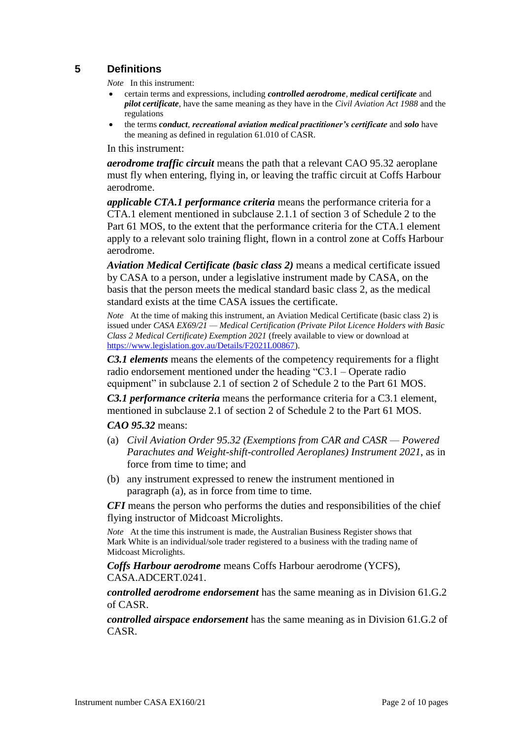# **5 Definitions**

*Note* In this instrument:

- certain terms and expressions, including *controlled aerodrome*, *medical certificate* and *pilot certificate*, have the same meaning as they have in the *Civil Aviation Act 1988* and the regulations
- the terms *conduct*, *recreational aviation medical practitioner's certificate* and *solo* have the meaning as defined in regulation 61.010 of CASR.

In this instrument:

*aerodrome traffic circuit* means the path that a relevant CAO 95.32 aeroplane must fly when entering, flying in, or leaving the traffic circuit at Coffs Harbour aerodrome.

*applicable CTA.1 performance criteria* means the performance criteria for a CTA.1 element mentioned in subclause 2.1.1 of section 3 of Schedule 2 to the Part 61 MOS, to the extent that the performance criteria for the CTA.1 element apply to a relevant solo training flight, flown in a control zone at Coffs Harbour aerodrome.

*Aviation Medical Certificate (basic class 2)* means a medical certificate issued by CASA to a person, under a legislative instrument made by CASA, on the basis that the person meets the medical standard basic class 2, as the medical standard exists at the time CASA issues the certificate.

*Note* At the time of making this instrument, an Aviation Medical Certificate (basic class 2) is issued under *CASA EX69/21 — Medical Certification (Private Pilot Licence Holders with Basic Class 2 Medical Certificate) Exemption 2021* (freely available to view or download at [https://www.legislation.gov.au/Details/F2021L00867\)](https://www.legislation.gov.au/Details/F2021L00867).

*C3.1 elements* means the elements of the competency requirements for a flight radio endorsement mentioned under the heading "C3.1 – Operate radio equipment" in subclause 2.1 of section 2 of Schedule 2 to the Part 61 MOS.

*C3.1 performance criteria* means the performance criteria for a C3.1 element, mentioned in subclause 2.1 of section 2 of Schedule 2 to the Part 61 MOS.

*CAO 95.32* means:

- (a) *Civil Aviation Order 95.32 (Exemptions from CAR and CASR — Powered Parachutes and Weight-shift-controlled Aeroplanes) Instrument 2021*, as in force from time to time; and
- (b) any instrument expressed to renew the instrument mentioned in paragraph (a), as in force from time to time.

*CFI* means the person who performs the duties and responsibilities of the chief flying instructor of Midcoast Microlights.

*Note* At the time this instrument is made, the Australian Business Register shows that Mark White is an individual/sole trader registered to a business with the trading name of Midcoast Microlights.

*Coffs Harbour aerodrome* means Coffs Harbour aerodrome (YCFS), CASA.ADCERT.0241.

*controlled aerodrome endorsement* has the same meaning as in Division 61.G.2 of CASR.

*controlled airspace endorsement* has the same meaning as in Division 61.G.2 of CASR.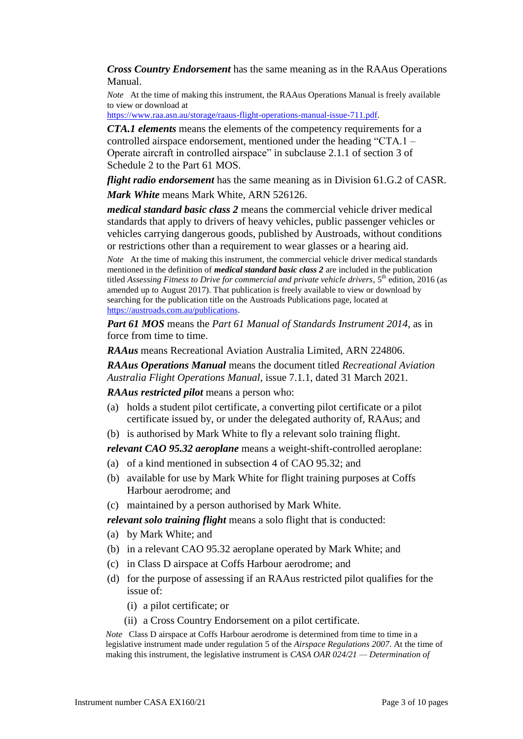*Cross Country Endorsement* has the same meaning as in the RAAus Operations Manual.

*Note* At the time of making this instrument, the RAAus Operations Manual is freely available to view or download at

[https://www.raa.asn.au/storage/raaus-flight-operations-manual-issue-711.pdf.](https://www.raa.asn.au/storage/raaus-flight-operations-manual-issue-711.pdf)

*CTA.1 elements* means the elements of the competency requirements for a controlled airspace endorsement, mentioned under the heading "CTA.1 – Operate aircraft in controlled airspace" in subclause 2.1.1 of section 3 of Schedule 2 to the Part 61 MOS.

*flight radio endorsement* has the same meaning as in Division 61.G.2 of CASR. *Mark White* means Mark White, ARN 526126.

*medical standard basic class 2* means the commercial vehicle driver medical standards that apply to drivers of heavy vehicles, public passenger vehicles or vehicles carrying dangerous goods, published by Austroads, without conditions or restrictions other than a requirement to wear glasses or a hearing aid.

*Note* At the time of making this instrument, the commercial vehicle driver medical standards mentioned in the definition of *medical standard basic class 2* are included in the publication titled *Assessing Fitness to Drive for commercial and private vehicle drivers*, 5th edition, 2016 (as amended up to August 2017). That publication is freely available to view or download by searching for the publication title on the Austroads Publications page, located at [https://austroads.com.au/publications.](https://austroads.com.au/publications)

*Part 61 MOS* means the *Part 61 Manual of Standards Instrument 2014*, as in force from time to time.

*RAAus* means Recreational Aviation Australia Limited, ARN 224806.

*RAAus Operations Manual* means the document titled *Recreational Aviation Australia Flight Operations Manual*, issue 7.1.1, dated 31 March 2021.

*RAAus restricted pilot* means a person who:

- (a) holds a student pilot certificate, a converting pilot certificate or a pilot certificate issued by, or under the delegated authority of, RAAus; and
- (b) is authorised by Mark White to fly a relevant solo training flight.

*relevant CAO 95.32 aeroplane* means a weight-shift-controlled aeroplane:

- (a) of a kind mentioned in subsection 4 of CAO 95.32; and
- (b) available for use by Mark White for flight training purposes at Coffs Harbour aerodrome; and
- (c) maintained by a person authorised by Mark White.

*relevant solo training flight* means a solo flight that is conducted:

- (a) by Mark White; and
- (b) in a relevant CAO 95.32 aeroplane operated by Mark White; and
- (c) in Class D airspace at Coffs Harbour aerodrome; and
- (d) for the purpose of assessing if an RAAus restricted pilot qualifies for the issue of:
	- (i) a pilot certificate; or
	- (ii) a Cross Country Endorsement on a pilot certificate.

*Note* Class D airspace at Coffs Harbour aerodrome is determined from time to time in a legislative instrument made under regulation 5 of the *Airspace Regulations 2007*. At the time of making this instrument, the legislative instrument is *CASA OAR 024/21 — Determination of*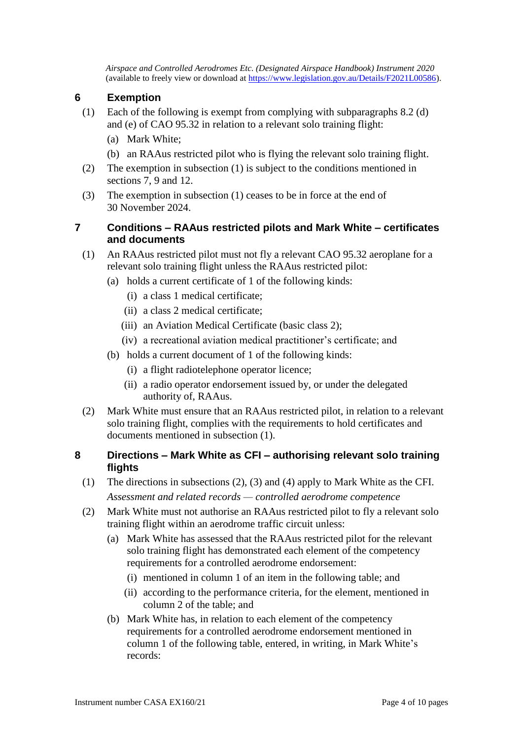*Airspace and Controlled Aerodromes Etc. (Designated Airspace Handbook) Instrument 2020* (available to freely view or download at [https://www.legislation.gov.au/Details/F2021L00586\)](https://www.legislation.gov.au/Details/F2021L00586).

# **6 Exemption**

- (1) Each of the following is exempt from complying with subparagraphs 8.2 (d) and (e) of CAO 95.32 in relation to a relevant solo training flight:
	- (a) Mark White;
	- (b) an RAAus restricted pilot who is flying the relevant solo training flight.
- (2) The exemption in subsection (1) is subject to the conditions mentioned in sections 7, 9 and 12.
- (3) The exemption in subsection (1) ceases to be in force at the end of 30 November 2024.

# **7 Conditions – RAAus restricted pilots and Mark White – certificates and documents**

- (1) An RAAus restricted pilot must not fly a relevant CAO 95.32 aeroplane for a relevant solo training flight unless the RAAus restricted pilot:
	- (a) holds a current certificate of 1 of the following kinds:
		- (i) a class 1 medical certificate;
		- (ii) a class 2 medical certificate;
		- (iii) an Aviation Medical Certificate (basic class 2);
		- (iv) a recreational aviation medical practitioner's certificate; and
	- (b) holds a current document of 1 of the following kinds:
		- (i) a flight radiotelephone operator licence;
		- (ii) a radio operator endorsement issued by, or under the delegated authority of, RAAus.
- (2) Mark White must ensure that an RAAus restricted pilot, in relation to a relevant solo training flight, complies with the requirements to hold certificates and documents mentioned in subsection (1).

## **8 Directions – Mark White as CFI – authorising relevant solo training flights**

- (1) The directions in subsections (2), (3) and (4) apply to Mark White as the CFI. *Assessment and related records — controlled aerodrome competence*
- (2) Mark White must not authorise an RAAus restricted pilot to fly a relevant solo training flight within an aerodrome traffic circuit unless:
	- (a) Mark White has assessed that the RAAus restricted pilot for the relevant solo training flight has demonstrated each element of the competency requirements for a controlled aerodrome endorsement:
		- (i) mentioned in column 1 of an item in the following table; and
		- (ii) according to the performance criteria, for the element, mentioned in column 2 of the table; and
	- (b) Mark White has, in relation to each element of the competency requirements for a controlled aerodrome endorsement mentioned in column 1 of the following table, entered, in writing, in Mark White's records: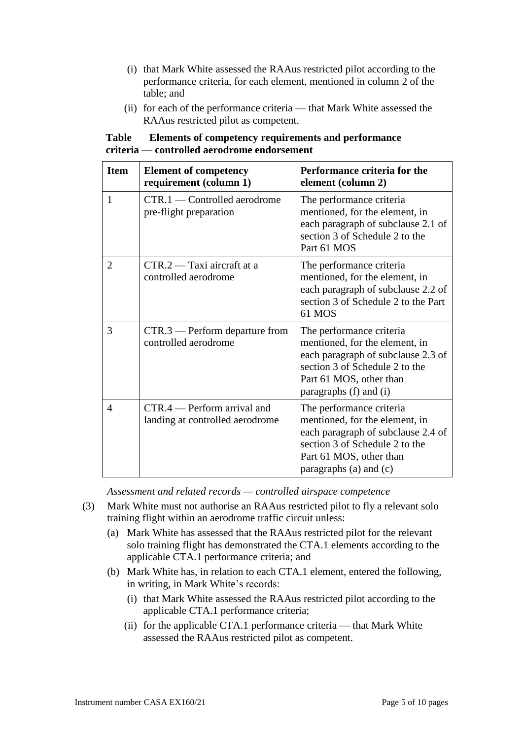- (i) that Mark White assessed the RAAus restricted pilot according to the performance criteria, for each element, mentioned in column 2 of the table; and
- (ii) for each of the performance criteria that Mark White assessed the RAAus restricted pilot as competent.

| <b>Item</b>    | <b>Element of competency</b><br>requirement (column 1)         | Performance criteria for the<br>element (column 2)                                                                                                                                      |
|----------------|----------------------------------------------------------------|-----------------------------------------------------------------------------------------------------------------------------------------------------------------------------------------|
| $\mathbf{1}$   | CTR.1 — Controlled aerodrome<br>pre-flight preparation         | The performance criteria<br>mentioned, for the element, in<br>each paragraph of subclause 2.1 of<br>section 3 of Schedule 2 to the<br>Part 61 MOS                                       |
| $\overline{2}$ | $CTR.2 - Taxi$ aircraft at a<br>controlled aerodrome           | The performance criteria<br>mentioned, for the element, in<br>each paragraph of subclause 2.2 of<br>section 3 of Schedule 2 to the Part<br>61 MOS                                       |
| 3              | $CTR.3$ — Perform departure from<br>controlled aerodrome       | The performance criteria<br>mentioned, for the element, in<br>each paragraph of subclause 2.3 of<br>section 3 of Schedule 2 to the<br>Part 61 MOS, other than<br>paragraphs (f) and (i) |
| $\overline{4}$ | CTR.4 — Perform arrival and<br>landing at controlled aerodrome | The performance criteria<br>mentioned, for the element, in<br>each paragraph of subclause 2.4 of<br>section 3 of Schedule 2 to the<br>Part 61 MOS, other than<br>paragraphs (a) and (c) |

## **Table Elements of competency requirements and performance criteria — controlled aerodrome endorsement**

*Assessment and related records — controlled airspace competence*

- (3) Mark White must not authorise an RAAus restricted pilot to fly a relevant solo training flight within an aerodrome traffic circuit unless:
	- (a) Mark White has assessed that the RAAus restricted pilot for the relevant solo training flight has demonstrated the CTA.1 elements according to the applicable CTA.1 performance criteria; and
	- (b) Mark White has, in relation to each CTA.1 element, entered the following, in writing, in Mark White's records:
		- (i) that Mark White assessed the RAAus restricted pilot according to the applicable CTA.1 performance criteria;
		- (ii) for the applicable CTA.1 performance criteria that Mark White assessed the RAAus restricted pilot as competent.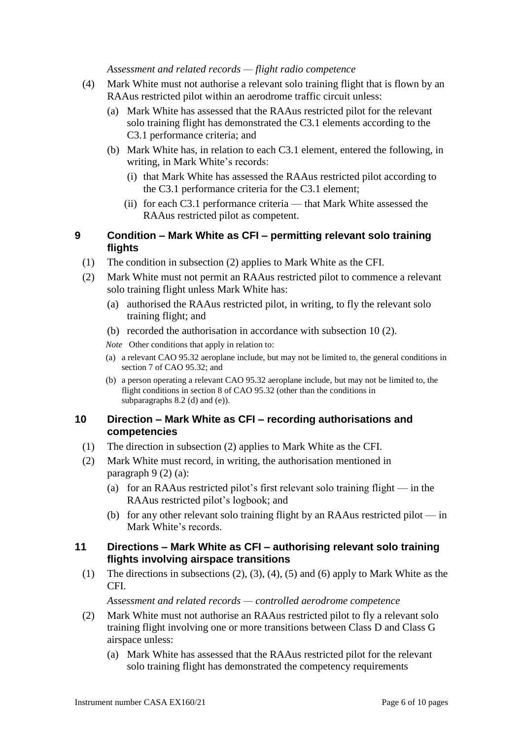#### *Assessment and related records — flight radio competence*

- (4) Mark White must not authorise a relevant solo training flight that is flown by an RAAus restricted pilot within an aerodrome traffic circuit unless:
	- (a) Mark White has assessed that the RAAus restricted pilot for the relevant solo training flight has demonstrated the C3.1 elements according to the C3.1 performance criteria; and
	- (b) Mark White has, in relation to each C3.1 element, entered the following, in writing, in Mark White's records:
		- (i) that Mark White has assessed the RAAus restricted pilot according to the C3.1 performance criteria for the C3.1 element;
		- (ii) for each C3.1 performance criteria that Mark White assessed the RAAus restricted pilot as competent.

## **9 Condition – Mark White as CFI – permitting relevant solo training flights**

- (1) The condition in subsection (2) applies to Mark White as the CFI.
- (2) Mark White must not permit an RAAus restricted pilot to commence a relevant solo training flight unless Mark White has:
	- (a) authorised the RAAus restricted pilot, in writing, to fly the relevant solo training flight; and
	- (b) recorded the authorisation in accordance with subsection 10 (2).

*Note* Other conditions that apply in relation to:

- (a) a relevant CAO 95.32 aeroplane include, but may not be limited to, the general conditions in section 7 of CAO 95.32; and
- (b) a person operating a relevant CAO 95.32 aeroplane include, but may not be limited to, the flight conditions in section 8 of CAO 95.32 (other than the conditions in subparagraphs 8.2 (d) and (e)).

#### **10 Direction – Mark White as CFI – recording authorisations and competencies**

- (1) The direction in subsection (2) applies to Mark White as the CFI.
- (2) Mark White must record, in writing, the authorisation mentioned in paragraph 9 (2) (a):
	- (a) for an RAAus restricted pilot's first relevant solo training flight in the RAAus restricted pilot's logbook; and
	- (b) for any other relevant solo training flight by an RAAus restricted pilot in Mark White's records.

## **11 Directions – Mark White as CFI – authorising relevant solo training flights involving airspace transitions**

(1) The directions in subsections (2), (3), (4), (5) and (6) apply to Mark White as the CFI.

*Assessment and related records — controlled aerodrome competence*

- (2) Mark White must not authorise an RAAus restricted pilot to fly a relevant solo training flight involving one or more transitions between Class D and Class G airspace unless:
	- (a) Mark White has assessed that the RAAus restricted pilot for the relevant solo training flight has demonstrated the competency requirements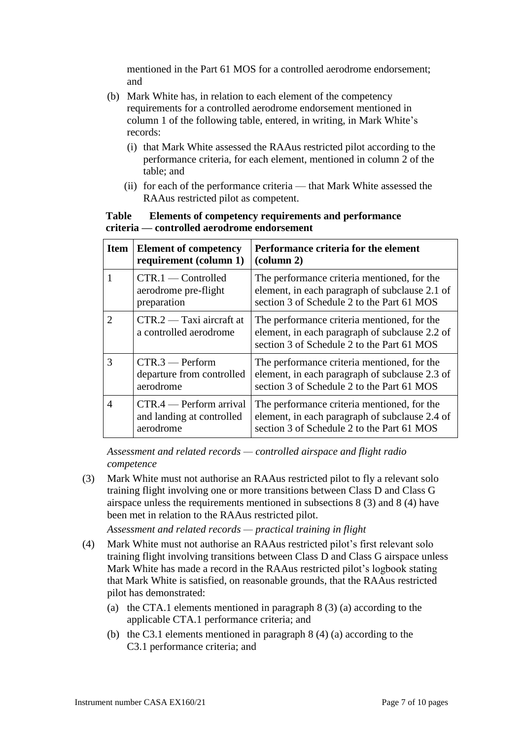mentioned in the Part 61 MOS for a controlled aerodrome endorsement; and

- (b) Mark White has, in relation to each element of the competency requirements for a controlled aerodrome endorsement mentioned in column 1 of the following table, entered, in writing, in Mark White's records:
	- (i) that Mark White assessed the RAAus restricted pilot according to the performance criteria, for each element, mentioned in column 2 of the table; and
	- (ii) for each of the performance criteria that Mark White assessed the RAAus restricted pilot as competent.

## **Table Elements of competency requirements and performance criteria — controlled aerodrome endorsement**

| <b>Item</b>    | <b>Element of competency</b><br>requirement (column 1)            | Performance criteria for the element<br>$\left(\text{column } 2\right)$                                                                     |
|----------------|-------------------------------------------------------------------|---------------------------------------------------------------------------------------------------------------------------------------------|
|                | $CTR.1$ - Controlled<br>aerodrome pre-flight<br>preparation       | The performance criteria mentioned, for the<br>element, in each paragraph of subclause 2.1 of<br>section 3 of Schedule 2 to the Part 61 MOS |
| $\mathcal{D}$  | $CTR.2 - Taxi$ aircraft at<br>a controlled aerodrome              | The performance criteria mentioned, for the<br>element, in each paragraph of subclause 2.2 of<br>section 3 of Schedule 2 to the Part 61 MOS |
| $\mathcal{R}$  | $CTR.3$ - Perform<br>departure from controlled<br>aerodrome       | The performance criteria mentioned, for the<br>element, in each paragraph of subclause 2.3 of<br>section 3 of Schedule 2 to the Part 61 MOS |
| $\overline{A}$ | CTR.4 — Perform arrival<br>and landing at controlled<br>aerodrome | The performance criteria mentioned, for the<br>element, in each paragraph of subclause 2.4 of<br>section 3 of Schedule 2 to the Part 61 MOS |

*Assessment and related records — controlled airspace and flight radio competence*

(3) Mark White must not authorise an RAAus restricted pilot to fly a relevant solo training flight involving one or more transitions between Class D and Class G airspace unless the requirements mentioned in subsections 8 (3) and 8 (4) have been met in relation to the RAAus restricted pilot.

*Assessment and related records — practical training in flight*

- (4) Mark White must not authorise an RAAus restricted pilot's first relevant solo training flight involving transitions between Class D and Class G airspace unless Mark White has made a record in the RAAus restricted pilot's logbook stating that Mark White is satisfied, on reasonable grounds, that the RAAus restricted pilot has demonstrated:
	- (a) the CTA.1 elements mentioned in paragraph 8 (3) (a) according to the applicable CTA.1 performance criteria; and
	- (b) the C3.1 elements mentioned in paragraph 8 (4) (a) according to the C3.1 performance criteria; and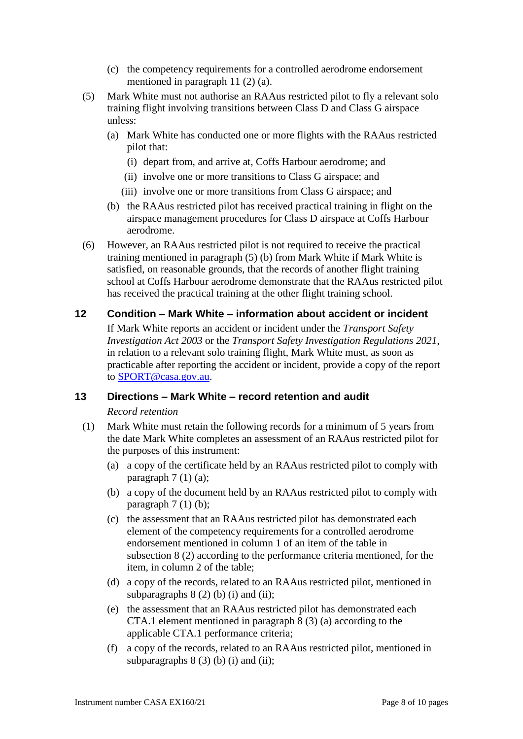- (c) the competency requirements for a controlled aerodrome endorsement mentioned in paragraph 11 (2) (a).
- (5) Mark White must not authorise an RAAus restricted pilot to fly a relevant solo training flight involving transitions between Class D and Class G airspace unless:
	- (a) Mark White has conducted one or more flights with the RAAus restricted pilot that:
		- (i) depart from, and arrive at, Coffs Harbour aerodrome; and
		- (ii) involve one or more transitions to Class G airspace; and
		- (iii) involve one or more transitions from Class G airspace; and
	- (b) the RAAus restricted pilot has received practical training in flight on the airspace management procedures for Class D airspace at Coffs Harbour aerodrome.
- (6) However, an RAAus restricted pilot is not required to receive the practical training mentioned in paragraph (5) (b) from Mark White if Mark White is satisfied, on reasonable grounds, that the records of another flight training school at Coffs Harbour aerodrome demonstrate that the RAAus restricted pilot has received the practical training at the other flight training school.

# **12 Condition – Mark White – information about accident or incident**

If Mark White reports an accident or incident under the *Transport Safety Investigation Act 2003* or the *Transport Safety Investigation Regulations 2021*, in relation to a relevant solo training flight, Mark White must, as soon as practicable after reporting the accident or incident, provide a copy of the report to [SPORT@casa.gov.au.](mailto:sport@casa.gov.au)

# **13 Directions – Mark White – record retention and audit**

#### *Record retention*

- (1) Mark White must retain the following records for a minimum of 5 years from the date Mark White completes an assessment of an RAAus restricted pilot for the purposes of this instrument:
	- (a) a copy of the certificate held by an RAAus restricted pilot to comply with paragraph  $7(1)(a)$ ;
	- (b) a copy of the document held by an RAAus restricted pilot to comply with paragraph  $7(1)(b)$ ;
	- (c) the assessment that an RAAus restricted pilot has demonstrated each element of the competency requirements for a controlled aerodrome endorsement mentioned in column 1 of an item of the table in subsection 8 (2) according to the performance criteria mentioned, for the item, in column 2 of the table;
	- (d) a copy of the records, related to an RAAus restricted pilot, mentioned in subparagraphs  $8(2)$  (b) (i) and (ii);
	- (e) the assessment that an RAAus restricted pilot has demonstrated each CTA.1 element mentioned in paragraph 8 (3) (a) according to the applicable CTA.1 performance criteria;
	- (f) a copy of the records, related to an RAAus restricted pilot, mentioned in subparagraphs  $8(3)$  (b) (i) and (ii);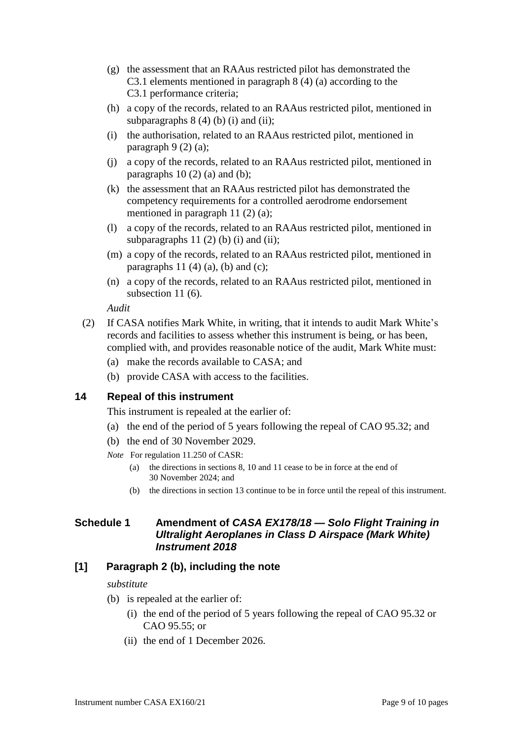- (g) the assessment that an RAAus restricted pilot has demonstrated the C3.1 elements mentioned in paragraph 8 (4) (a) according to the C3.1 performance criteria;
- (h) a copy of the records, related to an RAAus restricted pilot, mentioned in subparagraphs  $8(4)(b)(i)$  and  $(ii)$ ;
- (i) the authorisation, related to an RAAus restricted pilot, mentioned in paragraph  $9(2)(a)$ ;
- (j) a copy of the records, related to an RAAus restricted pilot, mentioned in paragraphs  $10(2)$  (a) and (b);
- (k) the assessment that an RAAus restricted pilot has demonstrated the competency requirements for a controlled aerodrome endorsement mentioned in paragraph 11 (2) (a);
- (l) a copy of the records, related to an RAAus restricted pilot, mentioned in subparagraphs  $11(2)$  (b) (i) and (ii);
- (m) a copy of the records, related to an RAAus restricted pilot, mentioned in paragraphs  $11$  (4) (a), (b) and (c);
- (n) a copy of the records, related to an RAAus restricted pilot, mentioned in subsection 11 (6).

*Audit*

- (2) If CASA notifies Mark White, in writing, that it intends to audit Mark White's records and facilities to assess whether this instrument is being, or has been, complied with, and provides reasonable notice of the audit, Mark White must:
	- (a) make the records available to CASA; and
	- (b) provide CASA with access to the facilities.

# **14 Repeal of this instrument**

This instrument is repealed at the earlier of:

- (a) the end of the period of 5 years following the repeal of CAO 95.32; and
- (b) the end of 30 November 2029.
- *Note* For regulation 11.250 of CASR:
	- (a) the directions in sections 8, 10 and 11 cease to be in force at the end of 30 November 2024; and
	- (b) the directions in section 13 continue to be in force until the repeal of this instrument.

# **Schedule 1 Amendment of** *CASA EX178/18 — Solo Flight Training in Ultralight Aeroplanes in Class D Airspace (Mark White) Instrument 2018*

# **[1] Paragraph 2 (b), including the note**

#### *substitute*

- (b) is repealed at the earlier of:
	- (i) the end of the period of 5 years following the repeal of CAO 95.32 or CAO 95.55; or
	- (ii) the end of 1 December 2026.